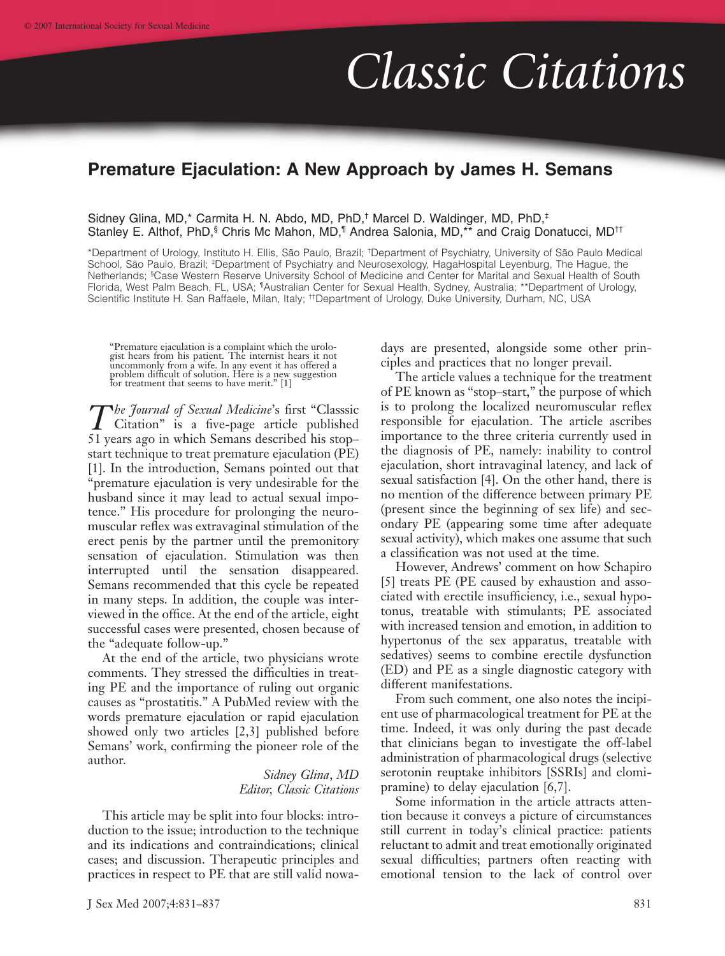# *Classic Citations*

### **Premature Ejaculation: A New Approach by James H. Semans**

Sidney Glina, MD,\* Carmita H. N. Abdo, MD, PhD,† Marcel D. Waldinger, MD, PhD,‡ Stanley E. Althof, PhD,<sup>§</sup> Chris Mc Mahon, MD,<sup>1</sup> Andrea Salonia, MD,<sup>\*\*</sup> and Craig Donatucci, MD<sup>††</sup>

\*Department of Urology, Instituto H. Ellis, São Paulo, Brazil; † Department of Psychiatry, University of São Paulo Medical School, São Paulo, Brazil; ‡Department of Psychiatry and Neurosexology, HagaHospital Leyenburg, The Hague, the Netherlands; <sup>§</sup>Case Western Reserve University School of Medicine and Center for Marital and Sexual Health of South Florida, West Palm Beach, FL, USA; <sup>1</sup>Australian Center for Sexual Health, Sydney, Australia; \*\*Department of Urology, Scientific Institute H. San Raffaele, Milan, Italy; ††Department of Urology, Duke University, Durham, NC, USA

"Premature ejaculation is a complaint which the urolo-gist hears from his patient. The internist hears it not uncommonly from a wife. In any event it has offered a problem difficult of solution. Here is a new suggestion for treatment that seems to have merit." [1]

*The Journal of Sexual Medicine's* first "Classsic<br>Citation" is a five-page article published<br>51 years ago in which Semans described his stap. 51 years ago in which Semans described his stop– start technique to treat premature ejaculation (PE) [1]. In the introduction, Semans pointed out that "premature ejaculation is very undesirable for the husband since it may lead to actual sexual impotence." His procedure for prolonging the neuromuscular reflex was extravaginal stimulation of the erect penis by the partner until the premonitory sensation of ejaculation. Stimulation was then interrupted until the sensation disappeared. Semans recommended that this cycle be repeated in many steps. In addition, the couple was interviewed in the office. At the end of the article, eight successful cases were presented, chosen because of the "adequate follow-up."

At the end of the article, two physicians wrote comments. They stressed the difficulties in treating PE and the importance of ruling out organic causes as "prostatitis." A PubMed review with the words premature ejaculation or rapid ejaculation showed only two articles [2,3] published before Semans' work, confirming the pioneer role of the author.

#### *Sidney Glina*, *MD Editor, Classic Citations*

This article may be split into four blocks: introduction to the issue; introduction to the technique and its indications and contraindications; clinical cases; and discussion. Therapeutic principles and practices in respect to PE that are still valid nowadays are presented, alongside some other principles and practices that no longer prevail.

The article values a technique for the treatment of PE known as "stop–start," the purpose of which is to prolong the localized neuromuscular reflex responsible for ejaculation. The article ascribes importance to the three criteria currently used in the diagnosis of PE, namely: inability to control ejaculation, short intravaginal latency, and lack of sexual satisfaction [4]. On the other hand, there is no mention of the difference between primary PE (present since the beginning of sex life) and secondary PE (appearing some time after adequate sexual activity), which makes one assume that such a classification was not used at the time.

However, Andrews' comment on how Schapiro [5] treats PE (PE caused by exhaustion and associated with erectile insufficiency, i.e., sexual hypotonus, treatable with stimulants; PE associated with increased tension and emotion, in addition to hypertonus of the sex apparatus, treatable with sedatives) seems to combine erectile dysfunction (ED) and PE as a single diagnostic category with different manifestations.

From such comment, one also notes the incipient use of pharmacological treatment for PE at the time. Indeed, it was only during the past decade that clinicians began to investigate the off-label administration of pharmacological drugs (selective serotonin reuptake inhibitors [SSRIs] and clomipramine) to delay ejaculation [6,7].

Some information in the article attracts attention because it conveys a picture of circumstances still current in today's clinical practice: patients reluctant to admit and treat emotionally originated sexual difficulties; partners often reacting with emotional tension to the lack of control over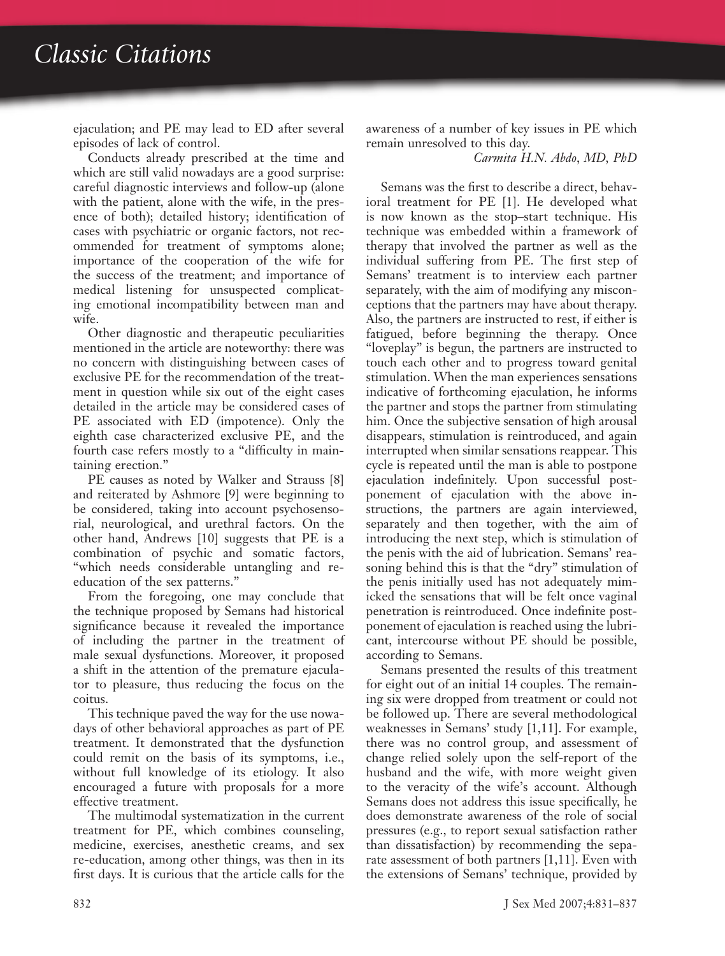ejaculation; and PE may lead to ED after several episodes of lack of control.

Conducts already prescribed at the time and which are still valid nowadays are a good surprise: careful diagnostic interviews and follow-up (alone with the patient, alone with the wife, in the presence of both); detailed history; identification of cases with psychiatric or organic factors, not recommended for treatment of symptoms alone; importance of the cooperation of the wife for the success of the treatment; and importance of medical listening for unsuspected complicating emotional incompatibility between man and wife.

Other diagnostic and therapeutic peculiarities mentioned in the article are noteworthy: there was no concern with distinguishing between cases of exclusive PE for the recommendation of the treatment in question while six out of the eight cases detailed in the article may be considered cases of PE associated with ED (impotence). Only the eighth case characterized exclusive PE, and the fourth case refers mostly to a "difficulty in maintaining erection."

PE causes as noted by Walker and Strauss [8] and reiterated by Ashmore [9] were beginning to be considered, taking into account psychosensorial, neurological, and urethral factors. On the other hand, Andrews [10] suggests that PE is a combination of psychic and somatic factors, "which needs considerable untangling and reeducation of the sex patterns."

From the foregoing, one may conclude that the technique proposed by Semans had historical significance because it revealed the importance of including the partner in the treatment of male sexual dysfunctions. Moreover, it proposed a shift in the attention of the premature ejaculator to pleasure, thus reducing the focus on the coitus.

This technique paved the way for the use nowadays of other behavioral approaches as part of PE treatment. It demonstrated that the dysfunction could remit on the basis of its symptoms, i.e., without full knowledge of its etiology. It also encouraged a future with proposals for a more effective treatment.

The multimodal systematization in the current treatment for PE, which combines counseling, medicine, exercises, anesthetic creams, and sex re-education, among other things, was then in its first days. It is curious that the article calls for the awareness of a number of key issues in PE which remain unresolved to this day.

*Carmita H.N. Abdo*, *MD, PhD*

Semans was the first to describe a direct, behavioral treatment for PE [1]. He developed what is now known as the stop–start technique. His technique was embedded within a framework of therapy that involved the partner as well as the individual suffering from PE. The first step of Semans' treatment is to interview each partner separately, with the aim of modifying any misconceptions that the partners may have about therapy. Also, the partners are instructed to rest, if either is fatigued, before beginning the therapy. Once "loveplay" is begun, the partners are instructed to touch each other and to progress toward genital stimulation. When the man experiences sensations indicative of forthcoming ejaculation, he informs the partner and stops the partner from stimulating him. Once the subjective sensation of high arousal disappears, stimulation is reintroduced, and again interrupted when similar sensations reappear. This cycle is repeated until the man is able to postpone ejaculation indefinitely. Upon successful postponement of ejaculation with the above instructions, the partners are again interviewed, separately and then together, with the aim of introducing the next step, which is stimulation of the penis with the aid of lubrication. Semans' reasoning behind this is that the "dry" stimulation of the penis initially used has not adequately mimicked the sensations that will be felt once vaginal penetration is reintroduced. Once indefinite postponement of ejaculation is reached using the lubricant, intercourse without PE should be possible, according to Semans.

Semans presented the results of this treatment for eight out of an initial 14 couples. The remaining six were dropped from treatment or could not be followed up. There are several methodological weaknesses in Semans' study [1,11]. For example, there was no control group, and assessment of change relied solely upon the self-report of the husband and the wife, with more weight given to the veracity of the wife's account. Although Semans does not address this issue specifically, he does demonstrate awareness of the role of social pressures (e.g., to report sexual satisfaction rather than dissatisfaction) by recommending the separate assessment of both partners [1,11]. Even with the extensions of Semans' technique, provided by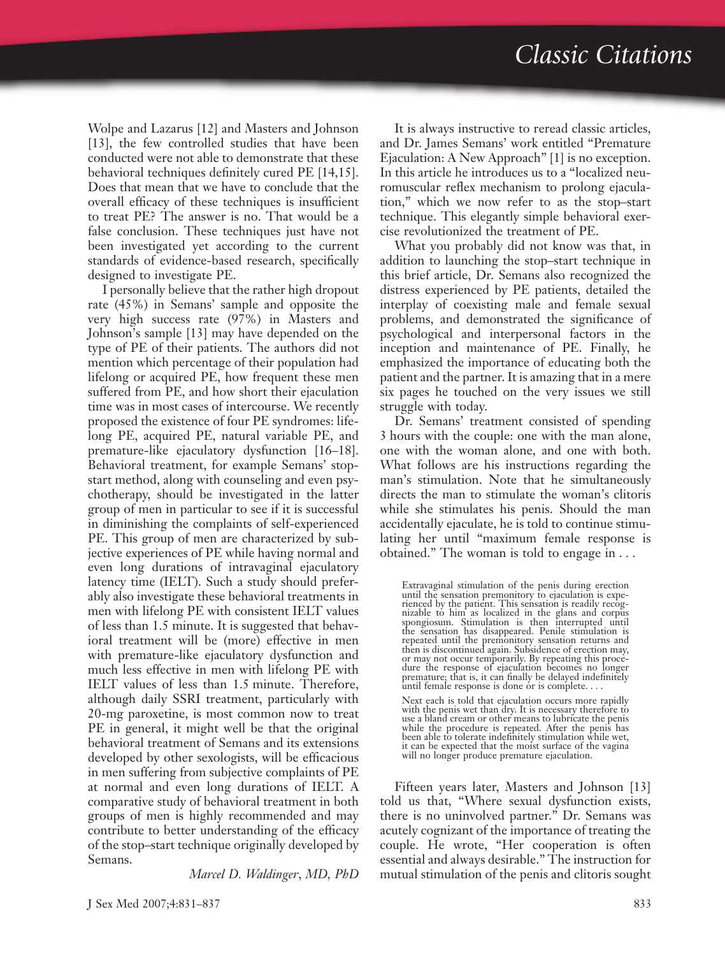Wolpe and Lazarus [12] and Masters and Johnson [13], the few controlled studies that have been conducted were not able to demonstrate that these behavioral techniques definitely cured PE [14,15]. Does that mean that we have to conclude that the overall efficacy of these techniques is insufficient to treat PE? The answer is no. That would be a false conclusion. These techniques just have not been investigated yet according to the current standards of evidence-based research, specifically designed to investigate PE.

I personally believe that the rather high dropout rate (45%) in Semans' sample and opposite the very high success rate (97%) in Masters and Johnson's sample [13] may have depended on the type of PE of their patients. The authors did not mention which percentage of their population had lifelong or acquired PE, how frequent these men suffered from PE, and how short their ejaculation time was in most cases of intercourse. We recently proposed the existence of four PE syndromes: lifelong PE, acquired PE, natural variable PE, and premature-like ejaculatory dysfunction [16–18]. Behavioral treatment, for example Semans' stopstart method, along with counseling and even psychotherapy, should be investigated in the latter group of men in particular to see if it is successful in diminishing the complaints of self-experienced PE. This group of men are characterized by subjective experiences of PE while having normal and even long durations of intravaginal ejaculatory latency time (IELT). Such a study should preferably also investigate these behavioral treatments in men with lifelong PE with consistent IELT values of less than 1.5 minute. It is suggested that behavioral treatment will be (more) effective in men with premature-like ejaculatory dysfunction and much less effective in men with lifelong PE with IELT values of less than 1.5 minute. Therefore, although daily SSRI treatment, particularly with 20-mg paroxetine, is most common now to treat PE in general, it might well be that the original behavioral treatment of Semans and its extensions developed by other sexologists, will be efficacious in men suffering from subjective complaints of PE at normal and even long durations of IELT. A comparative study of behavioral treatment in both groups of men is highly recommended and may contribute to better understanding of the efficacy of the stop–start technique originally developed by Semans.

*Marcel D. Waldinger*, *MD, PhD*

It is always instructive to reread classic articles, and Dr. James Semans' work entitled "Premature Ejaculation: A New Approach" [1] is no exception. In this article he introduces us to a "localized neuromuscular reflex mechanism to prolong ejaculation," which we now refer to as the stop–start technique. This elegantly simple behavioral exercise revolutionized the treatment of PE.

What you probably did not know was that, in addition to launching the stop–start technique in this brief article, Dr. Semans also recognized the distress experienced by PE patients, detailed the interplay of coexisting male and female sexual problems, and demonstrated the significance of psychological and interpersonal factors in the inception and maintenance of PE. Finally, he emphasized the importance of educating both the patient and the partner. It is amazing that in a mere six pages he touched on the very issues we still struggle with today.

Dr. Semans' treatment consisted of spending 3 hours with the couple: one with the man alone, one with the woman alone, and one with both. What follows are his instructions regarding the man's stimulation. Note that he simultaneously directs the man to stimulate the woman's clitoris while she stimulates his penis. Should the man accidentally ejaculate, he is told to continue stimulating her until "maximum female response is obtained." The woman is told to engage in . . .

Extravaginal stimulation of the penis during erection until the sensation premonitory to ejaculation is expe-rienced by the patient. This sensation is readily recognizable to him as localized in the glans and corpus spongiosum. Stimulation is then interrupted until the sensation has disappeared. Penile stimulation is repeated until the premonitory sensation returns and then is discontinued again. Subsidence of erection may, or may not occur temporarily. By repeating this procedure the response of ejaculation becomes no longer premature; that is, it can finally be delayed indefinitely until female response is done or is complete...

Next each is told that ejaculation occurs more rapidly with the penis wet than dry. It is necessary therefore to use a bland cream or other means to lubricate the penis while the procedure is repeated. After the penis has been able to tolerate indefinitely stimulation while wet, it can be expected that the moist surface of the vagina will no longer produce premature ejaculation.

Fifteen years later, Masters and Johnson [13] told us that, "Where sexual dysfunction exists, there is no uninvolved partner." Dr. Semans was acutely cognizant of the importance of treating the couple. He wrote, "Her cooperation is often essential and always desirable." The instruction for mutual stimulation of the penis and clitoris sought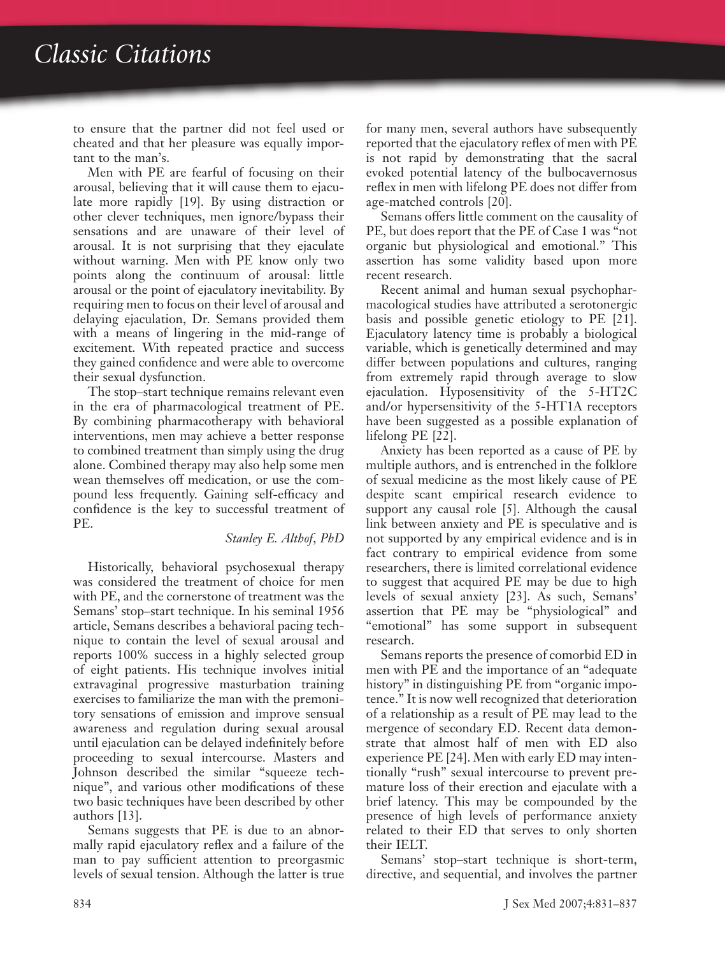to ensure that the partner did not feel used or cheated and that her pleasure was equally important to the man's.

Men with PE are fearful of focusing on their arousal, believing that it will cause them to ejaculate more rapidly [19]. By using distraction or other clever techniques, men ignore/bypass their sensations and are unaware of their level of arousal. It is not surprising that they ejaculate without warning. Men with PE know only two points along the continuum of arousal: little arousal or the point of ejaculatory inevitability. By requiring men to focus on their level of arousal and delaying ejaculation, Dr. Semans provided them with a means of lingering in the mid-range of excitement. With repeated practice and success they gained confidence and were able to overcome their sexual dysfunction.

The stop–start technique remains relevant even in the era of pharmacological treatment of PE. By combining pharmacotherapy with behavioral interventions, men may achieve a better response to combined treatment than simply using the drug alone. Combined therapy may also help some men wean themselves off medication, or use the compound less frequently. Gaining self-efficacy and confidence is the key to successful treatment of PE.

#### *Stanley E. Althof*, *PhD*

Historically, behavioral psychosexual therapy was considered the treatment of choice for men with PE, and the cornerstone of treatment was the Semans' stop–start technique. In his seminal 1956 article, Semans describes a behavioral pacing technique to contain the level of sexual arousal and reports 100% success in a highly selected group of eight patients. His technique involves initial extravaginal progressive masturbation training exercises to familiarize the man with the premonitory sensations of emission and improve sensual awareness and regulation during sexual arousal until ejaculation can be delayed indefinitely before proceeding to sexual intercourse. Masters and Johnson described the similar "squeeze technique", and various other modifications of these two basic techniques have been described by other authors [13].

Semans suggests that PE is due to an abnormally rapid ejaculatory reflex and a failure of the man to pay sufficient attention to preorgasmic levels of sexual tension. Although the latter is true for many men, several authors have subsequently reported that the ejaculatory reflex of men with PE is not rapid by demonstrating that the sacral evoked potential latency of the bulbocavernosus reflex in men with lifelong PE does not differ from age-matched controls [20].

Semans offers little comment on the causality of PE, but does report that the PE of Case 1 was "not organic but physiological and emotional." This assertion has some validity based upon more recent research.

Recent animal and human sexual psychopharmacological studies have attributed a serotonergic basis and possible genetic etiology to PE [21]. Ejaculatory latency time is probably a biological variable, which is genetically determined and may differ between populations and cultures, ranging from extremely rapid through average to slow ejaculation. Hyposensitivity of the 5-HT2C and/or hypersensitivity of the 5-HT1A receptors have been suggested as a possible explanation of lifelong PE [22].

Anxiety has been reported as a cause of PE by multiple authors, and is entrenched in the folklore of sexual medicine as the most likely cause of PE despite scant empirical research evidence to support any causal role [5]. Although the causal link between anxiety and PE is speculative and is not supported by any empirical evidence and is in fact contrary to empirical evidence from some researchers, there is limited correlational evidence to suggest that acquired PE may be due to high levels of sexual anxiety [23]. As such, Semans' assertion that PE may be "physiological" and "emotional" has some support in subsequent research.

Semans reports the presence of comorbid ED in men with PE and the importance of an "adequate history" in distinguishing PE from "organic impotence." It is now well recognized that deterioration of a relationship as a result of PE may lead to the mergence of secondary ED. Recent data demonstrate that almost half of men with ED also experience PE [24]. Men with early ED may intentionally "rush" sexual intercourse to prevent premature loss of their erection and ejaculate with a brief latency. This may be compounded by the presence of high levels of performance anxiety related to their ED that serves to only shorten their IELT.

Semans' stop–start technique is short-term, directive, and sequential, and involves the partner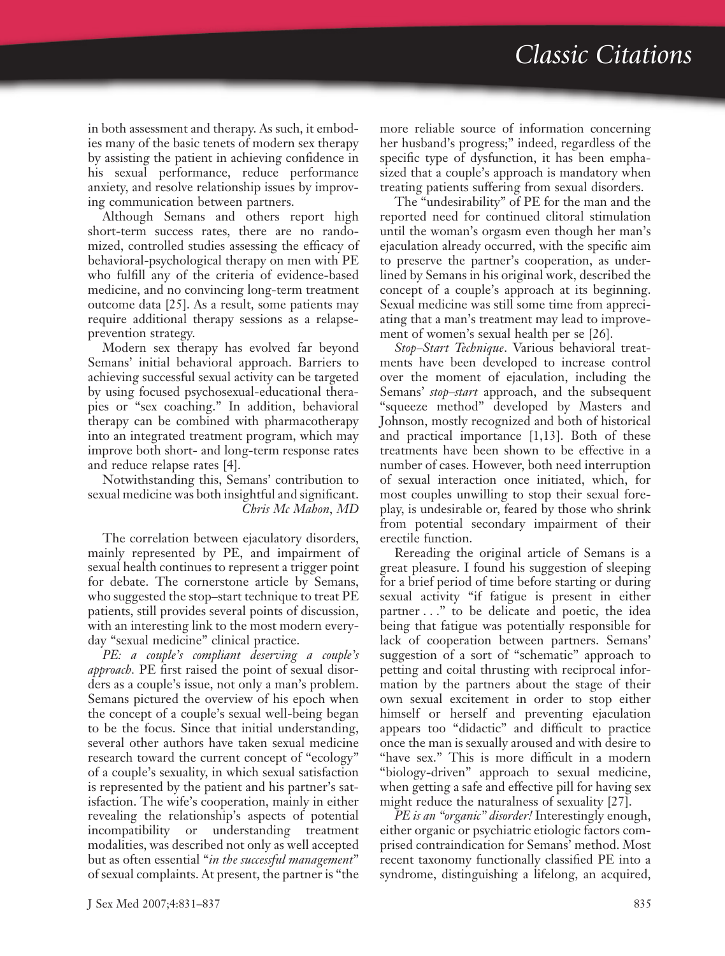in both assessment and therapy. As such, it embodies many of the basic tenets of modern sex therapy by assisting the patient in achieving confidence in his sexual performance, reduce performance anxiety, and resolve relationship issues by improving communication between partners.

Although Semans and others report high short-term success rates, there are no randomized, controlled studies assessing the efficacy of behavioral-psychological therapy on men with PE who fulfill any of the criteria of evidence-based medicine, and no convincing long-term treatment outcome data [25]. As a result, some patients may require additional therapy sessions as a relapseprevention strategy.

Modern sex therapy has evolved far beyond Semans' initial behavioral approach. Barriers to achieving successful sexual activity can be targeted by using focused psychosexual-educational therapies or "sex coaching." In addition, behavioral therapy can be combined with pharmacotherapy into an integrated treatment program, which may improve both short- and long-term response rates and reduce relapse rates [4].

Notwithstanding this, Semans' contribution to sexual medicine was both insightful and significant. *Chris Mc Mahon*, *MD*

The correlation between ejaculatory disorders, mainly represented by PE, and impairment of sexual health continues to represent a trigger point for debate. The cornerstone article by Semans, who suggested the stop–start technique to treat PE patients, still provides several points of discussion, with an interesting link to the most modern everyday "sexual medicine" clinical practice.

*PE: a couple's compliant deserving a couple's approach.* PE first raised the point of sexual disorders as a couple's issue, not only a man's problem. Semans pictured the overview of his epoch when the concept of a couple's sexual well-being began to be the focus. Since that initial understanding, several other authors have taken sexual medicine research toward the current concept of "ecology" of a couple's sexuality, in which sexual satisfaction is represented by the patient and his partner's satisfaction. The wife's cooperation, mainly in either revealing the relationship's aspects of potential incompatibility or understanding treatment modalities, was described not only as well accepted but as often essential "*in the successful management*" of sexual complaints. At present, the partner is "the more reliable source of information concerning her husband's progress;" indeed, regardless of the specific type of dysfunction, it has been emphasized that a couple's approach is mandatory when treating patients suffering from sexual disorders.

The "undesirability" of PE for the man and the reported need for continued clitoral stimulation until the woman's orgasm even though her man's ejaculation already occurred, with the specific aim to preserve the partner's cooperation, as underlined by Semans in his original work, described the concept of a couple's approach at its beginning. Sexual medicine was still some time from appreciating that a man's treatment may lead to improvement of women's sexual health per se [26].

*Stop–Start Technique*. Various behavioral treatments have been developed to increase control over the moment of ejaculation, including the Semans' *stop–start* approach, and the subsequent "squeeze method" developed by Masters and Johnson, mostly recognized and both of historical and practical importance [1,13]. Both of these treatments have been shown to be effective in a number of cases. However, both need interruption of sexual interaction once initiated, which, for most couples unwilling to stop their sexual foreplay, is undesirable or, feared by those who shrink from potential secondary impairment of their erectile function.

Rereading the original article of Semans is a great pleasure. I found his suggestion of sleeping for a brief period of time before starting or during sexual activity "if fatigue is present in either partner . . ." to be delicate and poetic, the idea being that fatigue was potentially responsible for lack of cooperation between partners. Semans' suggestion of a sort of "schematic" approach to petting and coital thrusting with reciprocal information by the partners about the stage of their own sexual excitement in order to stop either himself or herself and preventing ejaculation appears too "didactic" and difficult to practice once the man is sexually aroused and with desire to "have sex." This is more difficult in a modern "biology-driven" approach to sexual medicine, when getting a safe and effective pill for having sex might reduce the naturalness of sexuality [27].

*PE is an "organic" disorder!* Interestingly enough, either organic or psychiatric etiologic factors comprised contraindication for Semans' method. Most recent taxonomy functionally classified PE into a syndrome, distinguishing a lifelong, an acquired,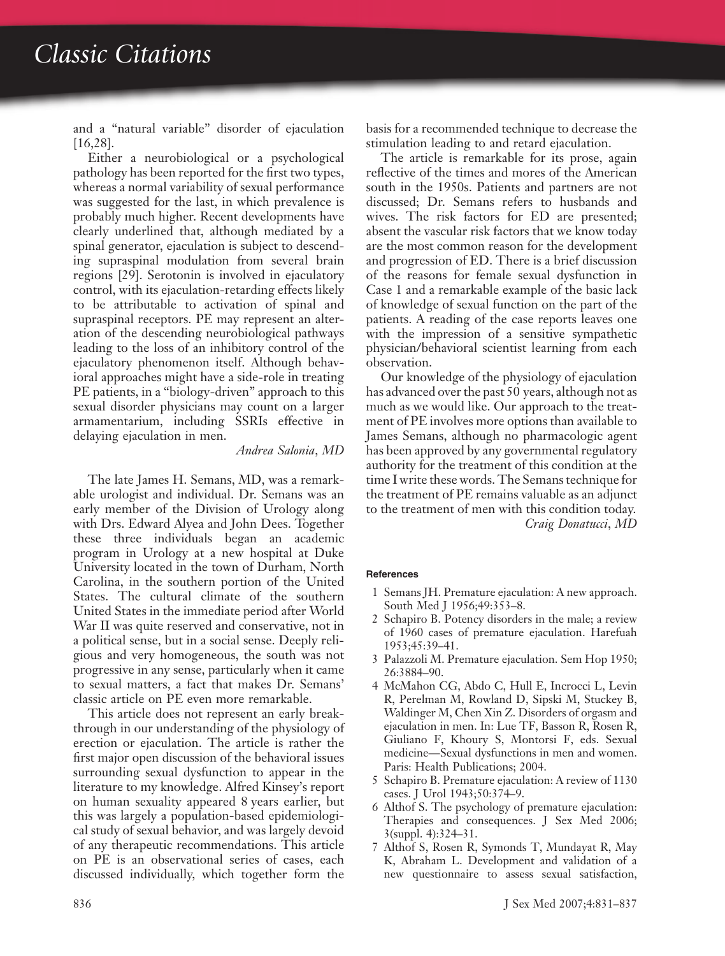## *Classic Citations*

and a "natural variable" disorder of ejaculation [16,28].

Either a neurobiological or a psychological pathology has been reported for the first two types, whereas a normal variability of sexual performance was suggested for the last, in which prevalence is probably much higher. Recent developments have clearly underlined that, although mediated by a spinal generator, ejaculation is subject to descending supraspinal modulation from several brain regions [29]. Serotonin is involved in ejaculatory control, with its ejaculation-retarding effects likely to be attributable to activation of spinal and supraspinal receptors. PE may represent an alteration of the descending neurobiological pathways leading to the loss of an inhibitory control of the ejaculatory phenomenon itself. Although behavioral approaches might have a side-role in treating PE patients, in a "biology-driven" approach to this sexual disorder physicians may count on a larger armamentarium, including SSRIs effective in delaying ejaculation in men.

*Andrea Salonia*, *MD*

The late James H. Semans, MD, was a remarkable urologist and individual. Dr. Semans was an early member of the Division of Urology along with Drs. Edward Alyea and John Dees. Together these three individuals began an academic program in Urology at a new hospital at Duke University located in the town of Durham, North Carolina, in the southern portion of the United States. The cultural climate of the southern United States in the immediate period after World War II was quite reserved and conservative, not in a political sense, but in a social sense. Deeply religious and very homogeneous, the south was not progressive in any sense, particularly when it came to sexual matters, a fact that makes Dr. Semans' classic article on PE even more remarkable.

This article does not represent an early breakthrough in our understanding of the physiology of erection or ejaculation. The article is rather the first major open discussion of the behavioral issues surrounding sexual dysfunction to appear in the literature to my knowledge. Alfred Kinsey's report on human sexuality appeared 8 years earlier, but this was largely a population-based epidemiological study of sexual behavior, and was largely devoid of any therapeutic recommendations. This article on PE is an observational series of cases, each discussed individually, which together form the basis for a recommended technique to decrease the stimulation leading to and retard ejaculation.

The article is remarkable for its prose, again reflective of the times and mores of the American south in the 1950s. Patients and partners are not discussed; Dr. Semans refers to husbands and wives. The risk factors for ED are presented; absent the vascular risk factors that we know today are the most common reason for the development and progression of ED. There is a brief discussion of the reasons for female sexual dysfunction in Case 1 and a remarkable example of the basic lack of knowledge of sexual function on the part of the patients. A reading of the case reports leaves one with the impression of a sensitive sympathetic physician/behavioral scientist learning from each observation.

Our knowledge of the physiology of ejaculation has advanced over the past 50 years, although not as much as we would like. Our approach to the treatment of PE involves more options than available to James Semans, although no pharmacologic agent has been approved by any governmental regulatory authority for the treatment of this condition at the time I write these words. The Semans technique for the treatment of PE remains valuable as an adjunct to the treatment of men with this condition today. *Craig Donatucci*, *MD*

#### **References**

- 1 Semans JH. Premature ejaculation: A new approach. South Med J 1956;49:353–8.
- 2 Schapiro B. Potency disorders in the male; a review of 1960 cases of premature ejaculation. Harefuah 1953;45:39–41.
- 3 Palazzoli M. Premature ejaculation. Sem Hop 1950; 26:3884–90.
- 4 McMahon CG, Abdo C, Hull E, Incrocci L, Levin R, Perelman M, Rowland D, Sipski M, Stuckey B, Waldinger M, Chen Xin Z. Disorders of orgasm and ejaculation in men. In: Lue TF, Basson R, Rosen R, Giuliano F, Khoury S, Montorsi F, eds. Sexual medicine—Sexual dysfunctions in men and women. Paris: Health Publications; 2004.
- 5 Schapiro B. Premature ejaculation: A review of 1130 cases. J Urol 1943;50:374–9.
- 6 Althof S. The psychology of premature ejaculation: Therapies and consequences. J Sex Med 2006; 3(suppl. 4):324–31.
- 7 Althof S, Rosen R, Symonds T, Mundayat R, May K, Abraham L. Development and validation of a new questionnaire to assess sexual satisfaction,